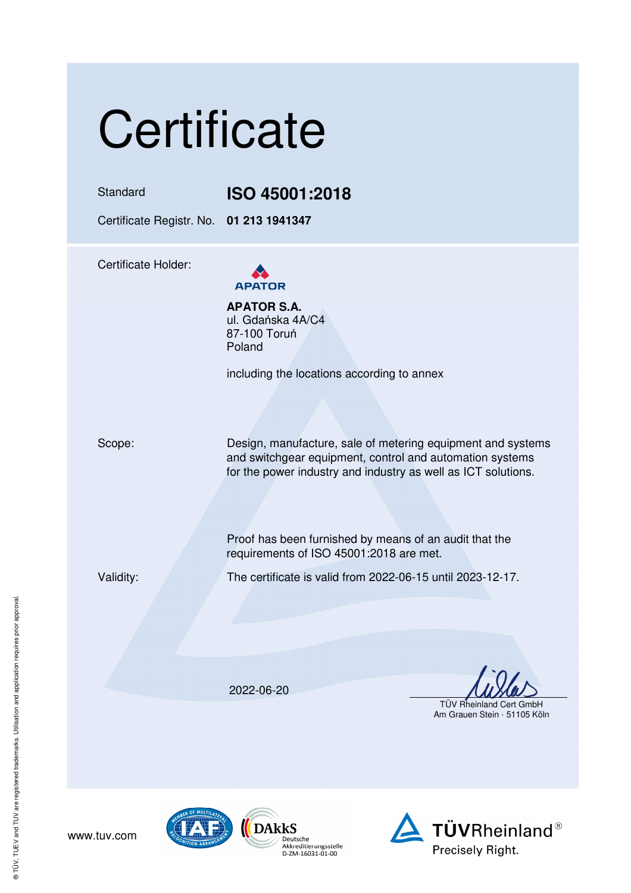# **Certificate**

### Standard **ISO 45001:2018**

Certificate Registr. No. **01 213 1941347** 

Certificate Holder:



**APATOR S.A.** ul. Gdańska 4A/C4 87-100 Toruń Poland

including the locations according to annex

Scope: Design, manufacture, sale of metering equipment and systems and switchgear equipment, control and automation systems for the power industry and industry as well as ICT solutions.

> Proof has been furnished by means of an audit that the requirements of ISO 45001:2018 are met.

www.tuv.com

Validity: The certificate is valid from 2022-06-15 until 2023-12-17.

2022-06-20

Deutsche<br>Akkreditierungsstelle

D-ZM-16031-01-00

TÜV Rheinland Cert GmbH

Am Grauen Stein · 51105 Köln





® TÜV, TUEV and TUV are registered trademarks. Utilisation and application requires prior approval. ® TÜV, TUEV and TUV are registered trademarks. Utilisation and application requires prior approval.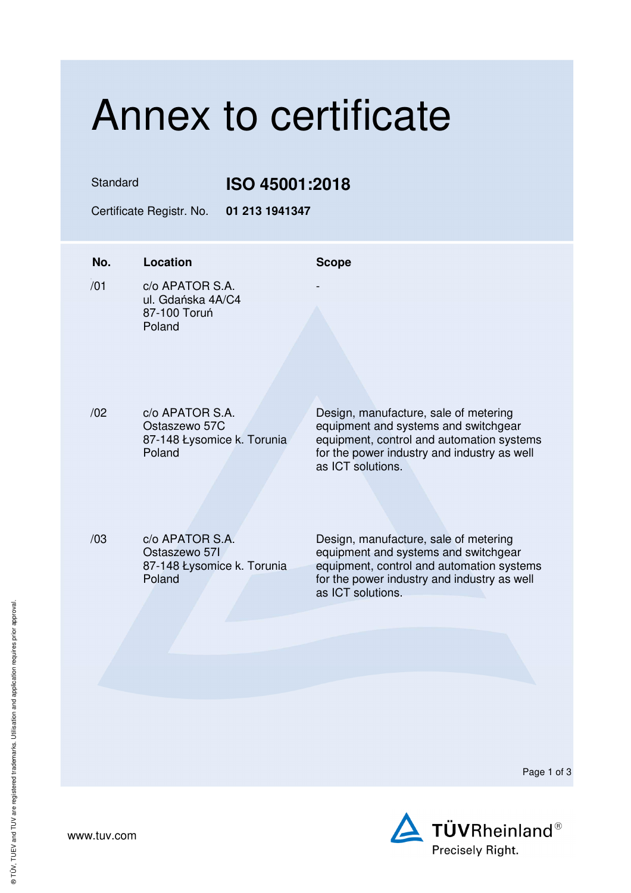## Annex to certificate

Standard **ISO 45001:2018** 

Certificate Registr. No. **01 213 1941347** 

| No. | <b>Location</b>                                                          | <b>Scope</b>                                                                                                                                                                                   |
|-----|--------------------------------------------------------------------------|------------------------------------------------------------------------------------------------------------------------------------------------------------------------------------------------|
| /01 | c/o APATOR S.A.<br>ul. Gdańska 4A/C4<br>87-100 Toruń<br>Poland           |                                                                                                                                                                                                |
| /02 | c/o APATOR S.A.<br>Ostaszewo 57C<br>87-148 Łysomice k. Torunia<br>Poland | Design, manufacture, sale of metering<br>equipment and systems and switchgear<br>equipment, control and automation systems<br>for the power industry and industry as well<br>as ICT solutions. |
| /03 | c/o APATOR S.A.<br>Ostaszewo 571<br>87-148 Łysomice k. Torunia<br>Poland | Design, manufacture, sale of metering<br>equipment and systems and switchgear<br>equipment, control and automation systems<br>for the power industry and industry as well<br>as ICT solutions. |
|     |                                                                          | Page 1 of 3                                                                                                                                                                                    |



www.tuv.com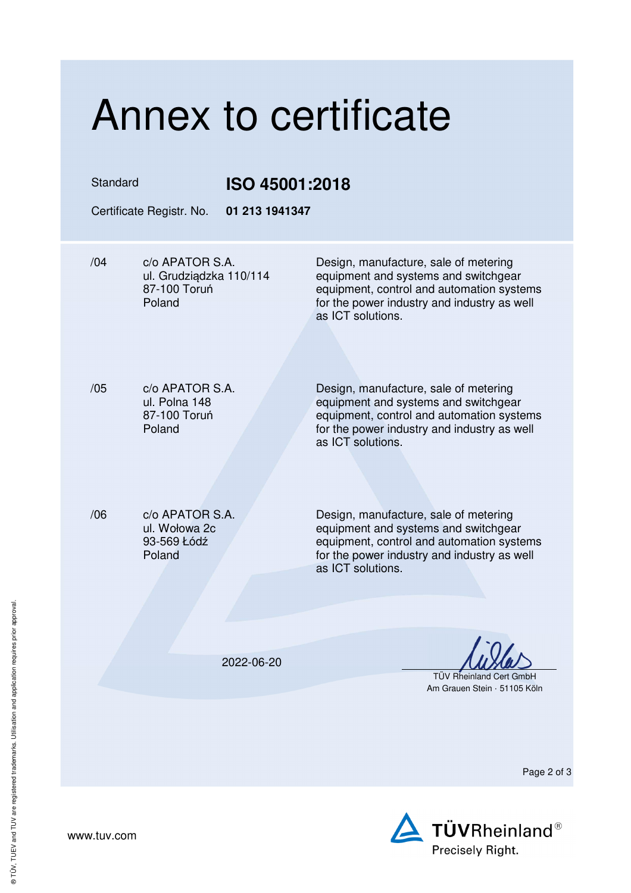| Annex to certificate                                                        |                                  |                                                                                                                                                                                                |  |  |
|-----------------------------------------------------------------------------|----------------------------------|------------------------------------------------------------------------------------------------------------------------------------------------------------------------------------------------|--|--|
| Standard<br>Certificate Registr. No.                                        | ISO 45001:2018<br>01 213 1941347 |                                                                                                                                                                                                |  |  |
| /04<br>c/o APATOR S.A.<br>ul. Grudziądzka 110/114<br>87-100 Toruń<br>Poland |                                  | Design, manufacture, sale of metering<br>equipment and systems and switchgear<br>equipment, control and automation systems<br>for the power industry and industry as well<br>as ICT solutions. |  |  |
| /05<br>c/o APATOR S.A.<br>ul. Polna 148<br>87-100 Toruń<br>Poland           |                                  | Design, manufacture, sale of metering<br>equipment and systems and switchgear<br>equipment, control and automation systems<br>for the power industry and industry as well<br>as ICT solutions. |  |  |
| /06<br>c/o APATOR S.A.<br>ul. Wołowa 2c<br>93-569 Łódź<br>Poland            |                                  | Design, manufacture, sale of metering<br>equipment and systems and switchgear<br>equipment, control and automation systems<br>for the power industry and industry as well<br>as ICT solutions. |  |  |
|                                                                             | 2022-06-20                       | <b>TÜV Rheinland Cert GmbH</b><br>Am Grauen Stein · 51105 Köln                                                                                                                                 |  |  |
|                                                                             |                                  | Page 2 of 3                                                                                                                                                                                    |  |  |